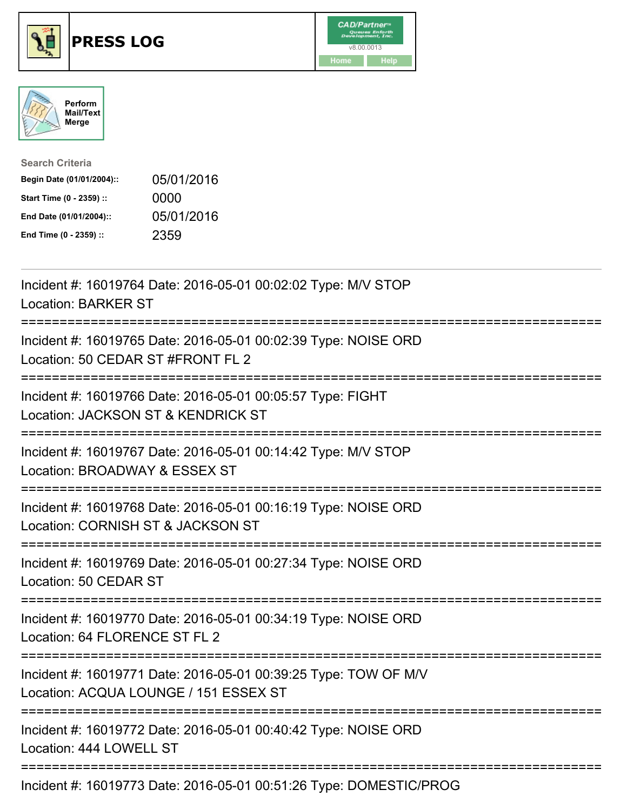





| <b>Search Criteria</b>    |            |
|---------------------------|------------|
| Begin Date (01/01/2004):: | 05/01/2016 |
| Start Time (0 - 2359) ::  | 0000       |
| End Date (01/01/2004)::   | 05/01/2016 |
| End Time (0 - 2359) ::    | 2359       |

| Incident #: 16019764 Date: 2016-05-01 00:02:02 Type: M/V STOP<br><b>Location: BARKER ST</b>                                         |
|-------------------------------------------------------------------------------------------------------------------------------------|
| Incident #: 16019765 Date: 2016-05-01 00:02:39 Type: NOISE ORD<br>Location: 50 CEDAR ST #FRONT FL 2                                 |
| Incident #: 16019766 Date: 2016-05-01 00:05:57 Type: FIGHT<br>Location: JACKSON ST & KENDRICK ST                                    |
| Incident #: 16019767 Date: 2016-05-01 00:14:42 Type: M/V STOP<br>Location: BROADWAY & ESSEX ST                                      |
| Incident #: 16019768 Date: 2016-05-01 00:16:19 Type: NOISE ORD<br>Location: CORNISH ST & JACKSON ST<br>-----------------------      |
| Incident #: 16019769 Date: 2016-05-01 00:27:34 Type: NOISE ORD<br>Location: 50 CEDAR ST                                             |
| Incident #: 16019770 Date: 2016-05-01 00:34:19 Type: NOISE ORD<br>Location: 64 FLORENCE ST FL 2<br>---------------------            |
| Incident #: 16019771 Date: 2016-05-01 00:39:25 Type: TOW OF M/V<br>Location: ACQUA LOUNGE / 151 ESSEX ST<br>======================= |
| Incident #: 16019772 Date: 2016-05-01 00:40:42 Type: NOISE ORD<br>Location: 444 LOWELL ST                                           |
| Incident #: 16019773 Date: 2016-05-01 00:51:26 Type: DOMESTIC/PROG                                                                  |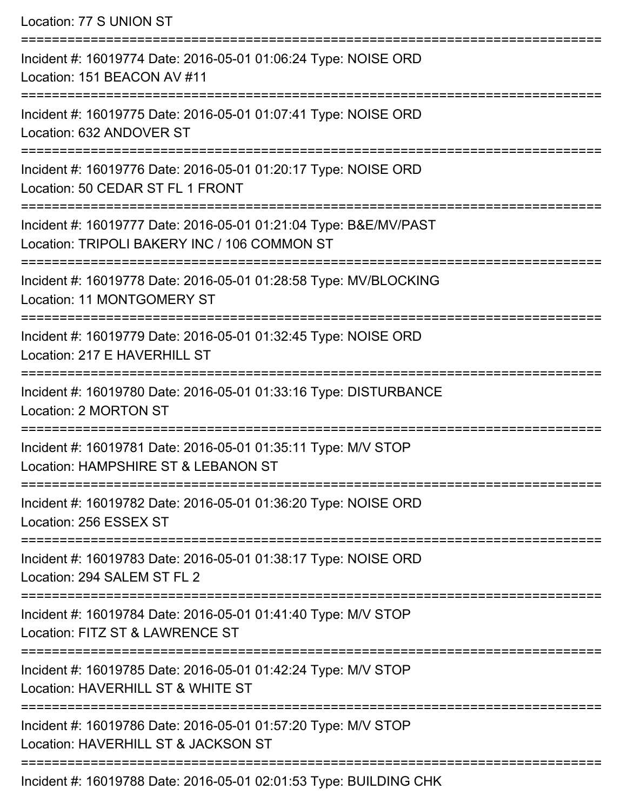| Location: 77 S UNION ST                                                                                                                    |
|--------------------------------------------------------------------------------------------------------------------------------------------|
| Incident #: 16019774 Date: 2016-05-01 01:06:24 Type: NOISE ORD<br>Location: 151 BEACON AV #11<br>==============================            |
| Incident #: 16019775 Date: 2016-05-01 01:07:41 Type: NOISE ORD<br>Location: 632 ANDOVER ST                                                 |
| Incident #: 16019776 Date: 2016-05-01 01:20:17 Type: NOISE ORD<br>Location: 50 CEDAR ST FL 1 FRONT<br>:=================================== |
| Incident #: 16019777 Date: 2016-05-01 01:21:04 Type: B&E/MV/PAST<br>Location: TRIPOLI BAKERY INC / 106 COMMON ST                           |
| :===================<br>Incident #: 16019778 Date: 2016-05-01 01:28:58 Type: MV/BLOCKING<br><b>Location: 11 MONTGOMERY ST</b>              |
| ------------------------------<br>Incident #: 16019779 Date: 2016-05-01 01:32:45 Type: NOISE ORD<br>Location: 217 E HAVERHILL ST           |
| Incident #: 16019780 Date: 2016-05-01 01:33:16 Type: DISTURBANCE<br>Location: 2 MORTON ST                                                  |
| Incident #: 16019781 Date: 2016-05-01 01:35:11 Type: M/V STOP<br>Location: HAMPSHIRE ST & LEBANON ST                                       |
| Incident #: 16019782 Date: 2016-05-01 01:36:20 Type: NOISE ORD<br>Location: 256 ESSEX ST                                                   |
| Incident #: 16019783 Date: 2016-05-01 01:38:17 Type: NOISE ORD<br>Location: 294 SALEM ST FL 2                                              |
| Incident #: 16019784 Date: 2016-05-01 01:41:40 Type: M/V STOP<br>Location: FITZ ST & LAWRENCE ST                                           |
| Incident #: 16019785 Date: 2016-05-01 01:42:24 Type: M/V STOP<br>Location: HAVERHILL ST & WHITE ST                                         |
| Incident #: 16019786 Date: 2016-05-01 01:57:20 Type: M/V STOP<br>Location: HAVERHILL ST & JACKSON ST                                       |
|                                                                                                                                            |

Incident #: 16019788 Date: 2016-05-01 02:01:53 Type: BUILDING CHK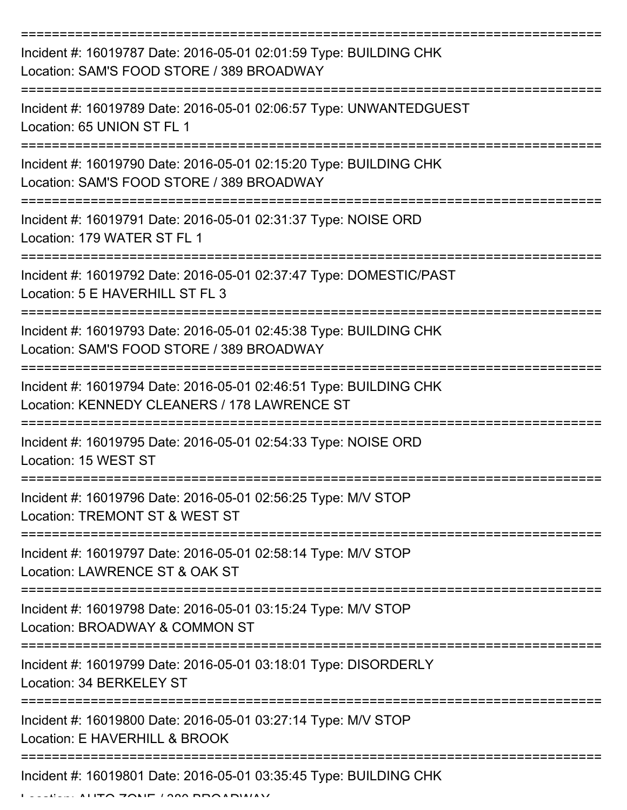| Incident #: 16019787 Date: 2016-05-01 02:01:59 Type: BUILDING CHK<br>Location: SAM'S FOOD STORE / 389 BROADWAY<br>;================================= |
|------------------------------------------------------------------------------------------------------------------------------------------------------|
| Incident #: 16019789 Date: 2016-05-01 02:06:57 Type: UNWANTEDGUEST<br>Location: 65 UNION ST FL 1                                                     |
| Incident #: 16019790 Date: 2016-05-01 02:15:20 Type: BUILDING CHK<br>Location: SAM'S FOOD STORE / 389 BROADWAY                                       |
| Incident #: 16019791 Date: 2016-05-01 02:31:37 Type: NOISE ORD<br>Location: 179 WATER ST FL 1                                                        |
| Incident #: 16019792 Date: 2016-05-01 02:37:47 Type: DOMESTIC/PAST<br>Location: 5 E HAVERHILL ST FL 3                                                |
| Incident #: 16019793 Date: 2016-05-01 02:45:38 Type: BUILDING CHK<br>Location: SAM'S FOOD STORE / 389 BROADWAY                                       |
| Incident #: 16019794 Date: 2016-05-01 02:46:51 Type: BUILDING CHK<br>Location: KENNEDY CLEANERS / 178 LAWRENCE ST                                    |
| Incident #: 16019795 Date: 2016-05-01 02:54:33 Type: NOISE ORD<br>Location: 15 WEST ST                                                               |
| Incident #: 16019796 Date: 2016-05-01 02:56:25 Type: M/V STOP<br>Location: TREMONT ST & WEST ST                                                      |
| Incident #: 16019797 Date: 2016-05-01 02:58:14 Type: M/V STOP<br>Location: LAWRENCE ST & OAK ST                                                      |
| Incident #: 16019798 Date: 2016-05-01 03:15:24 Type: M/V STOP<br>Location: BROADWAY & COMMON ST                                                      |
| Incident #: 16019799 Date: 2016-05-01 03:18:01 Type: DISORDERLY<br>Location: 34 BERKELEY ST                                                          |
| Incident #: 16019800 Date: 2016-05-01 03:27:14 Type: M/V STOP<br>Location: E HAVERHILL & BROOK                                                       |
| Incident #: 16019801 Date: 2016-05-01 03:35:45 Type: BUILDING CHK                                                                                    |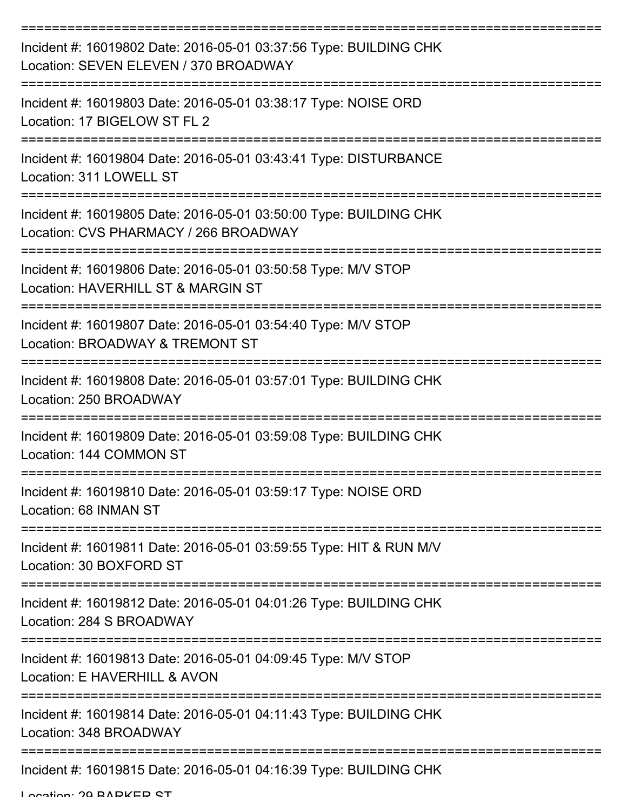| Incident #: 16019802 Date: 2016-05-01 03:37:56 Type: BUILDING CHK<br>Location: SEVEN ELEVEN / 370 BROADWAY |
|------------------------------------------------------------------------------------------------------------|
| Incident #: 16019803 Date: 2016-05-01 03:38:17 Type: NOISE ORD<br>Location: 17 BIGELOW ST FL 2             |
| Incident #: 16019804 Date: 2016-05-01 03:43:41 Type: DISTURBANCE<br>Location: 311 LOWELL ST                |
| Incident #: 16019805 Date: 2016-05-01 03:50:00 Type: BUILDING CHK<br>Location: CVS PHARMACY / 266 BROADWAY |
| Incident #: 16019806 Date: 2016-05-01 03:50:58 Type: M/V STOP<br>Location: HAVERHILL ST & MARGIN ST        |
| Incident #: 16019807 Date: 2016-05-01 03:54:40 Type: M/V STOP<br>Location: BROADWAY & TREMONT ST           |
| Incident #: 16019808 Date: 2016-05-01 03:57:01 Type: BUILDING CHK<br>Location: 250 BROADWAY                |
| Incident #: 16019809 Date: 2016-05-01 03:59:08 Type: BUILDING CHK<br>Location: 144 COMMON ST               |
| Incident #: 16019810 Date: 2016-05-01 03:59:17 Type: NOISE ORD<br>Location: 68 INMAN ST                    |
| Incident #: 16019811 Date: 2016-05-01 03:59:55 Type: HIT & RUN M/V<br>Location: 30 BOXFORD ST              |
| Incident #: 16019812 Date: 2016-05-01 04:01:26 Type: BUILDING CHK<br>Location: 284 S BROADWAY              |
| Incident #: 16019813 Date: 2016-05-01 04:09:45 Type: M/V STOP<br>Location: E HAVERHILL & AVON              |
| Incident #: 16019814 Date: 2016-05-01 04:11:43 Type: BUILDING CHK<br>Location: 348 BROADWAY                |
| Incident #: 16019815 Date: 2016-05-01 04:16:39 Type: BUILDING CHK                                          |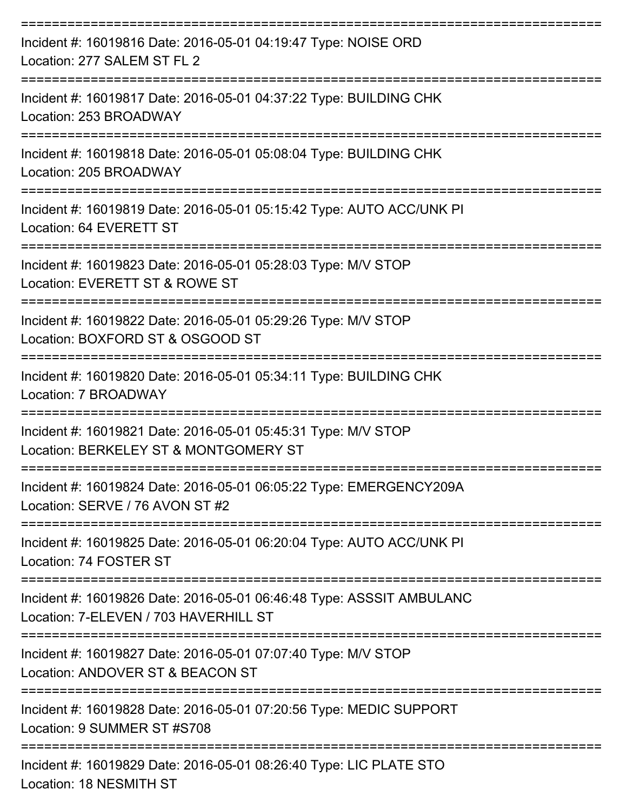| Incident #: 16019816 Date: 2016-05-01 04:19:47 Type: NOISE ORD<br>Location: 277 SALEM ST FL 2                          |
|------------------------------------------------------------------------------------------------------------------------|
| Incident #: 16019817 Date: 2016-05-01 04:37:22 Type: BUILDING CHK<br>Location: 253 BROADWAY<br>----------------        |
| Incident #: 16019818 Date: 2016-05-01 05:08:04 Type: BUILDING CHK<br>Location: 205 BROADWAY                            |
| Incident #: 16019819 Date: 2016-05-01 05:15:42 Type: AUTO ACC/UNK PI<br>Location: 64 EVERETT ST<br>=================== |
| Incident #: 16019823 Date: 2016-05-01 05:28:03 Type: M/V STOP<br>Location: EVERETT ST & ROWE ST                        |
| Incident #: 16019822 Date: 2016-05-01 05:29:26 Type: M/V STOP<br>Location: BOXFORD ST & OSGOOD ST                      |
| Incident #: 16019820 Date: 2016-05-01 05:34:11 Type: BUILDING CHK<br>Location: 7 BROADWAY                              |
| Incident #: 16019821 Date: 2016-05-01 05:45:31 Type: M/V STOP<br>Location: BERKELEY ST & MONTGOMERY ST                 |
| Incident #: 16019824 Date: 2016-05-01 06:05:22 Type: EMERGENCY209A<br>Location: SERVE / 76 AVON ST #2                  |
| Incident #: 16019825 Date: 2016-05-01 06:20:04 Type: AUTO ACC/UNK PI<br>Location: 74 FOSTER ST                         |
| Incident #: 16019826 Date: 2016-05-01 06:46:48 Type: ASSSIT AMBULANC<br>Location: 7-ELEVEN / 703 HAVERHILL ST          |
| Incident #: 16019827 Date: 2016-05-01 07:07:40 Type: M/V STOP<br>Location: ANDOVER ST & BEACON ST                      |
| Incident #: 16019828 Date: 2016-05-01 07:20:56 Type: MEDIC SUPPORT<br>Location: 9 SUMMER ST #S708                      |
| Incident #: 16019829 Date: 2016-05-01 08:26:40 Type: LIC PLATE STO                                                     |

Location: 18 NESMITH ST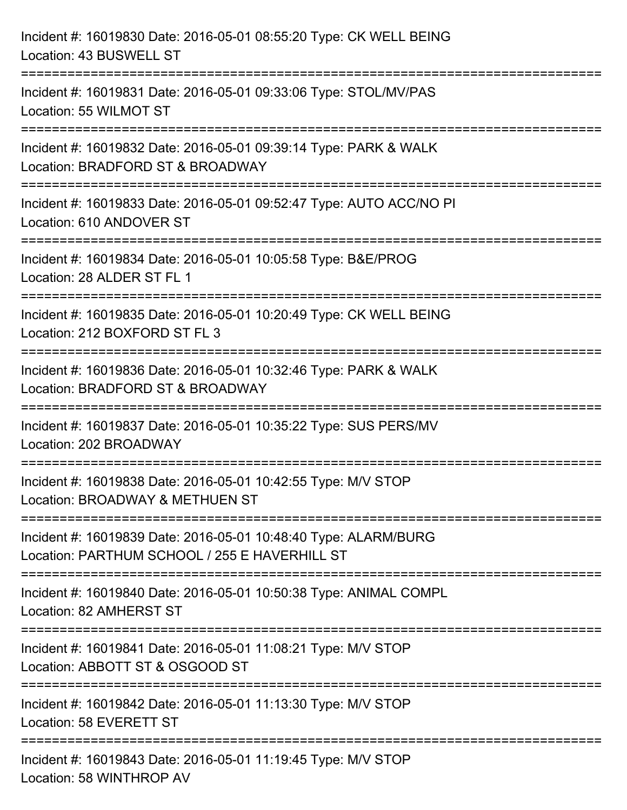| Incident #: 16019830 Date: 2016-05-01 08:55:20 Type: CK WELL BEING<br>Location: 43 BUSWELL ST                    |
|------------------------------------------------------------------------------------------------------------------|
| Incident #: 16019831 Date: 2016-05-01 09:33:06 Type: STOL/MV/PAS<br>Location: 55 WILMOT ST                       |
| Incident #: 16019832 Date: 2016-05-01 09:39:14 Type: PARK & WALK<br>Location: BRADFORD ST & BROADWAY             |
| Incident #: 16019833 Date: 2016-05-01 09:52:47 Type: AUTO ACC/NO PI<br>Location: 610 ANDOVER ST                  |
| Incident #: 16019834 Date: 2016-05-01 10:05:58 Type: B&E/PROG<br>Location: 28 ALDER ST FL 1                      |
| Incident #: 16019835 Date: 2016-05-01 10:20:49 Type: CK WELL BEING<br>Location: 212 BOXFORD ST FL 3              |
| Incident #: 16019836 Date: 2016-05-01 10:32:46 Type: PARK & WALK<br>Location: BRADFORD ST & BROADWAY             |
| Incident #: 16019837 Date: 2016-05-01 10:35:22 Type: SUS PERS/MV<br>Location: 202 BROADWAY                       |
| Incident #: 16019838 Date: 2016-05-01 10:42:55 Type: M/V STOP<br>Location: BROADWAY & METHUEN ST                 |
| Incident #: 16019839 Date: 2016-05-01 10:48:40 Type: ALARM/BURG<br>Location: PARTHUM SCHOOL / 255 E HAVERHILL ST |
| Incident #: 16019840 Date: 2016-05-01 10:50:38 Type: ANIMAL COMPL<br>Location: 82 AMHERST ST                     |
| Incident #: 16019841 Date: 2016-05-01 11:08:21 Type: M/V STOP<br>Location: ABBOTT ST & OSGOOD ST                 |
| Incident #: 16019842 Date: 2016-05-01 11:13:30 Type: M/V STOP<br>Location: 58 EVERETT ST                         |
| Incident #: 16019843 Date: 2016-05-01 11:19:45 Type: M/V STOP<br>Location: 58 WINTHROP AV                        |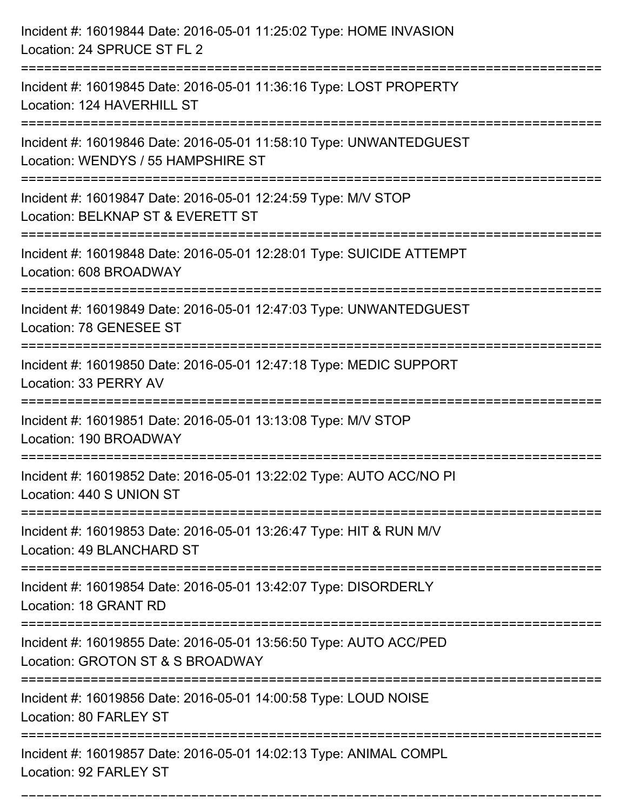| Incident #: 16019844 Date: 2016-05-01 11:25:02 Type: HOME INVASION<br>Location: 24 SPRUCE ST FL 2                                               |
|-------------------------------------------------------------------------------------------------------------------------------------------------|
| Incident #: 16019845 Date: 2016-05-01 11:36:16 Type: LOST PROPERTY<br>Location: 124 HAVERHILL ST                                                |
| Incident #: 16019846 Date: 2016-05-01 11:58:10 Type: UNWANTEDGUEST<br>Location: WENDYS / 55 HAMPSHIRE ST<br>=================================== |
| Incident #: 16019847 Date: 2016-05-01 12:24:59 Type: M/V STOP<br>Location: BELKNAP ST & EVERETT ST                                              |
| Incident #: 16019848 Date: 2016-05-01 12:28:01 Type: SUICIDE ATTEMPT<br>Location: 608 BROADWAY                                                  |
| Incident #: 16019849 Date: 2016-05-01 12:47:03 Type: UNWANTEDGUEST<br>Location: 78 GENESEE ST                                                   |
| Incident #: 16019850 Date: 2016-05-01 12:47:18 Type: MEDIC SUPPORT<br>Location: 33 PERRY AV                                                     |
| Incident #: 16019851 Date: 2016-05-01 13:13:08 Type: M/V STOP<br>Location: 190 BROADWAY                                                         |
| Incident #: 16019852 Date: 2016-05-01 13:22:02 Type: AUTO ACC/NO PI<br>Location: 440 S UNION ST                                                 |
| Incident #: 16019853 Date: 2016-05-01 13:26:47 Type: HIT & RUN M/V<br>Location: 49 BLANCHARD ST                                                 |
| Incident #: 16019854 Date: 2016-05-01 13:42:07 Type: DISORDERLY<br>Location: 18 GRANT RD                                                        |
| Incident #: 16019855 Date: 2016-05-01 13:56:50 Type: AUTO ACC/PED<br>Location: GROTON ST & S BROADWAY                                           |
| Incident #: 16019856 Date: 2016-05-01 14:00:58 Type: LOUD NOISE<br>Location: 80 FARLEY ST                                                       |
| Incident #: 16019857 Date: 2016-05-01 14:02:13 Type: ANIMAL COMPL<br>Location: 92 FARLEY ST                                                     |

===========================================================================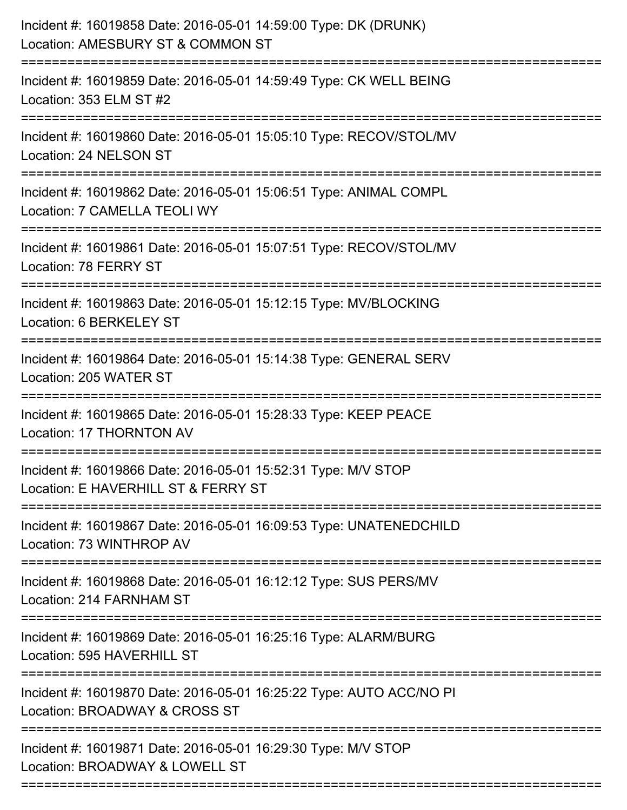| Incident #: 16019858 Date: 2016-05-01 14:59:00 Type: DK (DRUNK)<br>Location: AMESBURY ST & COMMON ST<br>==================== |
|------------------------------------------------------------------------------------------------------------------------------|
| Incident #: 16019859 Date: 2016-05-01 14:59:49 Type: CK WELL BEING<br>Location: 353 ELM ST #2                                |
| Incident #: 16019860 Date: 2016-05-01 15:05:10 Type: RECOV/STOL/MV<br>Location: 24 NELSON ST                                 |
| Incident #: 16019862 Date: 2016-05-01 15:06:51 Type: ANIMAL COMPL<br>Location: 7 CAMELLA TEOLI WY                            |
| Incident #: 16019861 Date: 2016-05-01 15:07:51 Type: RECOV/STOL/MV<br>Location: 78 FERRY ST<br>============================= |
| Incident #: 16019863 Date: 2016-05-01 15:12:15 Type: MV/BLOCKING<br>Location: 6 BERKELEY ST                                  |
| Incident #: 16019864 Date: 2016-05-01 15:14:38 Type: GENERAL SERV<br>Location: 205 WATER ST                                  |
| Incident #: 16019865 Date: 2016-05-01 15:28:33 Type: KEEP PEACE<br>Location: 17 THORNTON AV                                  |
| Incident #: 16019866 Date: 2016-05-01 15:52:31 Type: M/V STOP<br>Location: E HAVERHILL ST & FERRY ST                         |
| Incident #: 16019867 Date: 2016-05-01 16:09:53 Type: UNATENEDCHILD<br>Location: 73 WINTHROP AV                               |
| Incident #: 16019868 Date: 2016-05-01 16:12:12 Type: SUS PERS/MV<br>Location: 214 FARNHAM ST                                 |
| Incident #: 16019869 Date: 2016-05-01 16:25:16 Type: ALARM/BURG<br>Location: 595 HAVERHILL ST                                |
| Incident #: 16019870 Date: 2016-05-01 16:25:22 Type: AUTO ACC/NO PI<br>Location: BROADWAY & CROSS ST                         |
| Incident #: 16019871 Date: 2016-05-01 16:29:30 Type: M/V STOP<br>Location: BROADWAY & LOWELL ST                              |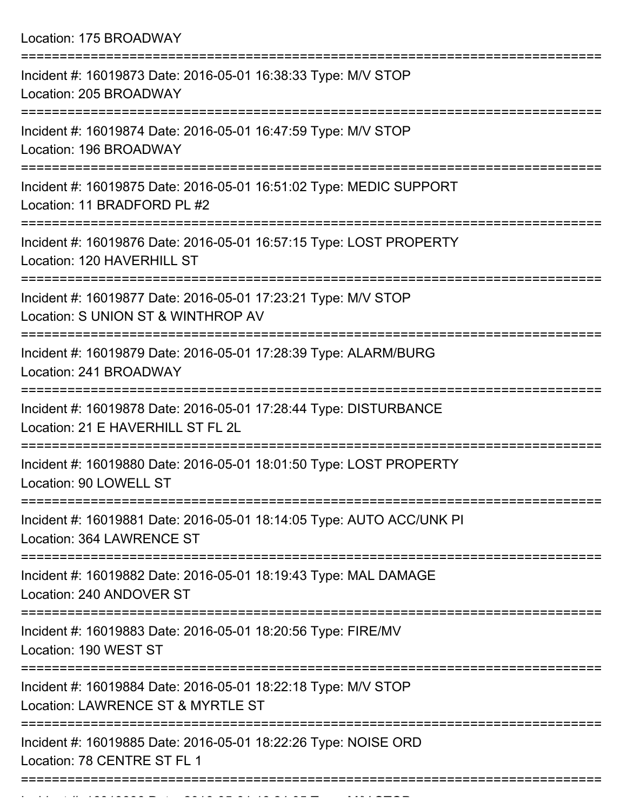Location: 175 BROADWAY

| Incident #: 16019873 Date: 2016-05-01 16:38:33 Type: M/V STOP<br>Location: 205 BROADWAY                                     |
|-----------------------------------------------------------------------------------------------------------------------------|
| Incident #: 16019874 Date: 2016-05-01 16:47:59 Type: M/V STOP<br>Location: 196 BROADWAY                                     |
| Incident #: 16019875 Date: 2016-05-01 16:51:02 Type: MEDIC SUPPORT<br>Location: 11 BRADFORD PL #2                           |
| Incident #: 16019876 Date: 2016-05-01 16:57:15 Type: LOST PROPERTY<br>Location: 120 HAVERHILL ST                            |
| Incident #: 16019877 Date: 2016-05-01 17:23:21 Type: M/V STOP<br>Location: S UNION ST & WINTHROP AV                         |
| Incident #: 16019879 Date: 2016-05-01 17:28:39 Type: ALARM/BURG<br>Location: 241 BROADWAY                                   |
| ------------------<br>Incident #: 16019878 Date: 2016-05-01 17:28:44 Type: DISTURBANCE<br>Location: 21 E HAVERHILL ST FL 2L |
| Incident #: 16019880 Date: 2016-05-01 18:01:50 Type: LOST PROPERTY<br>Location: 90 LOWELL ST                                |
| Incident #: 16019881 Date: 2016-05-01 18:14:05 Type: AUTO ACC/UNK PI<br>Location: 364 LAWRENCE ST                           |
| Incident #: 16019882 Date: 2016-05-01 18:19:43 Type: MAL DAMAGE<br>Location: 240 ANDOVER ST                                 |
| Incident #: 16019883 Date: 2016-05-01 18:20:56 Type: FIRE/MV<br>Location: 190 WEST ST                                       |
| Incident #: 16019884 Date: 2016-05-01 18:22:18 Type: M/V STOP<br>Location: LAWRENCE ST & MYRTLE ST                          |
| Incident #: 16019885 Date: 2016-05-01 18:22:26 Type: NOISE ORD<br>Location: 78 CENTRE ST FL 1                               |
|                                                                                                                             |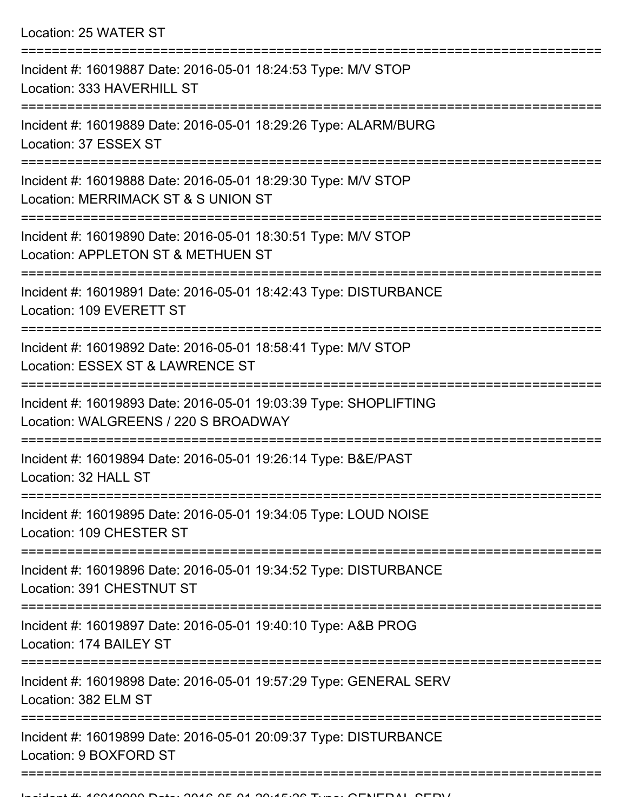| Location: 25 WATER ST |  |  |
|-----------------------|--|--|
|-----------------------|--|--|

| Incident #: 16019887 Date: 2016-05-01 18:24:53 Type: M/V STOP<br>Location: 333 HAVERHILL ST              |
|----------------------------------------------------------------------------------------------------------|
| Incident #: 16019889 Date: 2016-05-01 18:29:26 Type: ALARM/BURG<br>Location: 37 ESSEX ST                 |
| Incident #: 16019888 Date: 2016-05-01 18:29:30 Type: M/V STOP<br>Location: MERRIMACK ST & S UNION ST     |
| Incident #: 16019890 Date: 2016-05-01 18:30:51 Type: M/V STOP<br>Location: APPLETON ST & METHUEN ST      |
| Incident #: 16019891 Date: 2016-05-01 18:42:43 Type: DISTURBANCE<br>Location: 109 EVERETT ST             |
| Incident #: 16019892 Date: 2016-05-01 18:58:41 Type: M/V STOP<br>Location: ESSEX ST & LAWRENCE ST        |
| Incident #: 16019893 Date: 2016-05-01 19:03:39 Type: SHOPLIFTING<br>Location: WALGREENS / 220 S BROADWAY |
| Incident #: 16019894 Date: 2016-05-01 19:26:14 Type: B&E/PAST<br>Location: 32 HALL ST                    |
| Incident #: 16019895 Date: 2016-05-01 19:34:05 Type: LOUD NOISE<br>Location: 109 CHESTER ST              |
| Incident #: 16019896 Date: 2016-05-01 19:34:52 Type: DISTURBANCE<br>Location: 391 CHESTNUT ST            |
| Incident #: 16019897 Date: 2016-05-01 19:40:10 Type: A&B PROG<br>Location: 174 BAILEY ST                 |
| Incident #: 16019898 Date: 2016-05-01 19:57:29 Type: GENERAL SERV<br>Location: 382 ELM ST                |
| Incident #: 16019899 Date: 2016-05-01 20:09:37 Type: DISTURBANCE<br>Location: 9 BOXFORD ST               |
|                                                                                                          |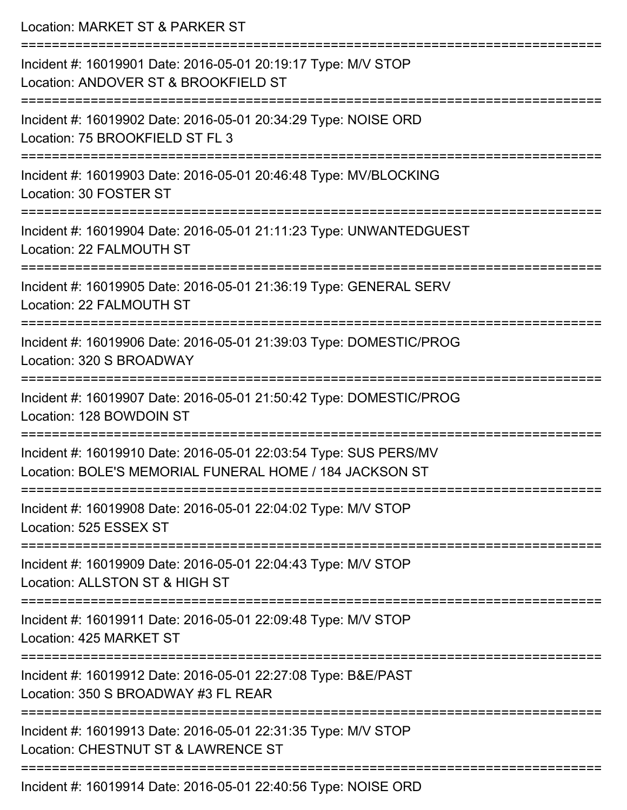| Location: MARKET ST & PARKER ST                                                                                             |
|-----------------------------------------------------------------------------------------------------------------------------|
| Incident #: 16019901 Date: 2016-05-01 20:19:17 Type: M/V STOP<br>Location: ANDOVER ST & BROOKFIELD ST                       |
| Incident #: 16019902 Date: 2016-05-01 20:34:29 Type: NOISE ORD<br>Location: 75 BROOKFIELD ST FL 3                           |
| Incident #: 16019903 Date: 2016-05-01 20:46:48 Type: MV/BLOCKING<br>Location: 30 FOSTER ST                                  |
| Incident #: 16019904 Date: 2016-05-01 21:11:23 Type: UNWANTEDGUEST<br>Location: 22 FALMOUTH ST                              |
| Incident #: 16019905 Date: 2016-05-01 21:36:19 Type: GENERAL SERV<br>Location: 22 FALMOUTH ST                               |
| Incident #: 16019906 Date: 2016-05-01 21:39:03 Type: DOMESTIC/PROG<br>Location: 320 S BROADWAY                              |
| Incident #: 16019907 Date: 2016-05-01 21:50:42 Type: DOMESTIC/PROG<br>Location: 128 BOWDOIN ST                              |
| Incident #: 16019910 Date: 2016-05-01 22:03:54 Type: SUS PERS/MV<br>Location: BOLE'S MEMORIAL FUNERAL HOME / 184 JACKSON ST |
| Incident #: 16019908 Date: 2016-05-01 22:04:02 Type: M/V STOP<br>Location: 525 ESSEX ST                                     |
| Incident #: 16019909 Date: 2016-05-01 22:04:43 Type: M/V STOP<br>Location: ALLSTON ST & HIGH ST                             |
| Incident #: 16019911 Date: 2016-05-01 22:09:48 Type: M/V STOP<br>Location: 425 MARKET ST                                    |
| Incident #: 16019912 Date: 2016-05-01 22:27:08 Type: B&E/PAST<br>Location: 350 S BROADWAY #3 FL REAR                        |
| Incident #: 16019913 Date: 2016-05-01 22:31:35 Type: M/V STOP<br>Location: CHESTNUT ST & LAWRENCE ST                        |
| Incident #: 16019914 Date: 2016-05-01 22:40:56 Type: NOISE ORD                                                              |